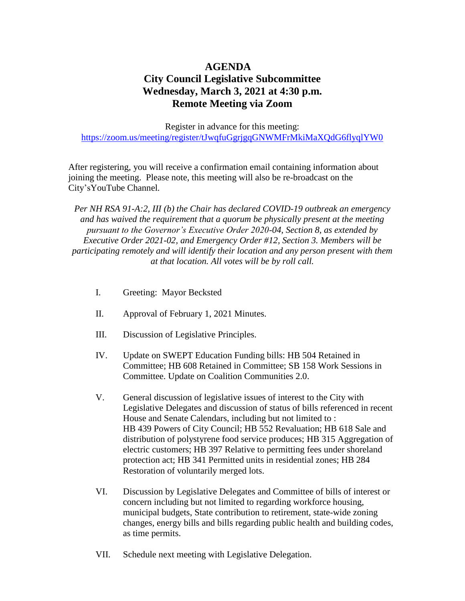## **AGENDA City Council Legislative Subcommittee Wednesday, March 3, 2021 at 4:30 p.m. Remote Meeting via Zoom**

Register in advance for this meeting: <https://zoom.us/meeting/register/tJwqfuGgrjgqGNWMFrMkiMaXQdG6flyqlYW0>

After registering, you will receive a confirmation email containing information about joining the meeting. Please note, this meeting will also be re-broadcast on the City'sYouTube Channel*.*

*Per NH RSA 91-A:2, III (b) the Chair has declared COVID-19 outbreak an emergency and has waived the requirement that a quorum be physically present at the meeting pursuant to the Governor's Executive Order 2020-04, Section 8, as extended by Executive Order 2021-02, and Emergency Order #12, Section 3. Members will be participating remotely and will identify their location and any person present with them at that location. All votes will be by roll call.* 

- I. Greeting: Mayor Becksted
- II. Approval of February 1, 2021 Minutes.
- III. Discussion of Legislative Principles.
- IV. Update on SWEPT Education Funding bills: HB 504 Retained in Committee; HB 608 Retained in Committee; SB 158 Work Sessions in Committee. Update on Coalition Communities 2.0.
- V. General discussion of legislative issues of interest to the City with Legislative Delegates and discussion of status of bills referenced in recent House and Senate Calendars, including but not limited to : HB 439 Powers of City Council; HB 552 Revaluation; HB 618 Sale and distribution of polystyrene food service produces; HB 315 Aggregation of electric customers; HB 397 Relative to permitting fees under shoreland protection act; HB 341 Permitted units in residential zones; HB 284 Restoration of voluntarily merged lots.
- VI. Discussion by Legislative Delegates and Committee of bills of interest or concern including but not limited to regarding workforce housing, municipal budgets, State contribution to retirement, state-wide zoning changes, energy bills and bills regarding public health and building codes, as time permits.
- VII. Schedule next meeting with Legislative Delegation.